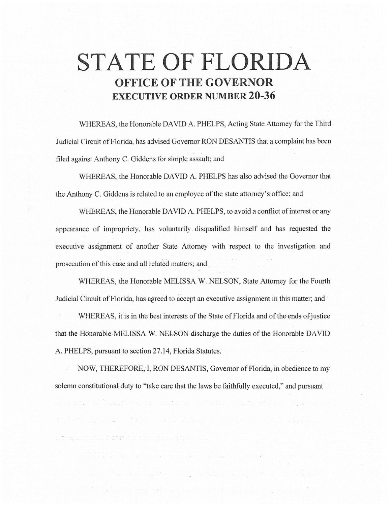# **STATE OF FLORIDA OFFICE OF THE GOVERNOR EXECUTIVE ORDER NUMBER 20-36**

WHEREAS, the Honorable DAVID A. PHELPS, Acting State Attorney for the Third Judicial Circuit of Florida, has advised Governor RON DESANTIS that a complaint has been filed against Anthony C. Giddens for simple assault; and

WHEREAS, the Honorable DAVID A. PHELPS has also advised the Governor that the Anthony C. Giddens is related to an employee of the state attorney's office; and

WHEREAS, the Honorable DAVID A. PHELPS, to avoid a conflict of interest or any appearance of impropriety, has voluntarily disqualified himself and has requested the executive assignment of another State Attorney with respect to the investigation and prosecution of this case and all related matters; and

WHEREAS, the Honorable MELISSA W. NELSON, State Attorney for the Fourth Judicial Circuit of Florida, has agreed to accept an executive assignment in this matter; and

WHEREAS, it is in the best interests of the State of Florida and of the ends of justice that the Honorable MELISSA W. NELSON discharge the duties of the Honorable DAVID A. PHELPS, pursuant to section 27 .14, Florida Statutes.

NOW, THEREFORE, I, RON DESANTIS, Governor of Florida, in obedience to my solemn constitutional duty to "take care that the laws be faithfully executed," and pursuant

y Sang Kilayagi ng mga wasang katalog Ke Saang at nga sa tr

사진 2010년 1월 12일 - 1월 1일 - 1월 1일 - 1월 1일 - 1월 1일 - 1월 1일 - 1월 1일 - 1월 1일 - 1월 1일 - 1월 1일 - 1월 1일 - 1월 1일 - 1월 1<br>대한민국의 대한민국의 대한민국의 대한민국의 대한민국의 대한민국의 대한민국의 대한민국의 대한민국의 대한민국의 대한민국의 대한민국의 대한민국의 대한민국의 대한민국의 대한민국의 대한민국의 대한민국의 대

Miller Light Constitution of the Charles of Schools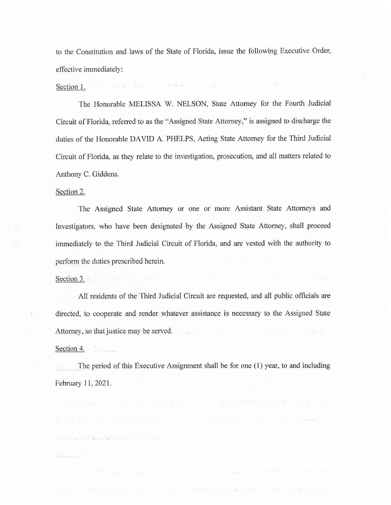to the Constitution and laws of the State of Florida, issue the following Executive Order, effective immediately:

المتباعث والمتكاف والمتعاقبا والمتوجب والمساه والمتعاطية والمحافية

### Section 1.

The Honorable MELISSA W. NELSON, State Attorney for the Fourth Judicial Circuit of Florida, referred to as the "Assigned State Attorney," is assigned to discharge the duties of the Honorable DAVID A. PHELPS, Acting State Attorney for the Third Judicial Circuit of Florida, as they relate to the investigation, prosecution, and all matters related to Anthony C. Giddens.

### Section 2.

The Assigned State Attorney or one or more Assistant State Attorneys and Investigators, who have been designated by the Assigned State Attorney, shall proceed immediately to the Third Judicial Circuit of Florida, and are vested with the authority to perform the duties prescribed herein.

## Section 3.  $\epsilon$  , and the section  $\epsilon$  is the section of the section  $\epsilon$  in the section  $\epsilon$

E.

All residents of the Third Judicial Circuit are requested, and all public officials are directed, to cooperate and render whatever assistance is necessary to the Assigned State Attorney, so that justice may be served.

#### $\frac{1}{\sqrt{2}}$  and the  $\mu$  tasks Section 4.

the Cause Alberta against the most construction of

The period of this Executive Assignment shall be for one  $(1)$  year, to and including February 11, 2021.

the stages, which is the second to a state of the second control of

.<br>In the state of the state of the first of the state of the state of the state of the state of the state of the